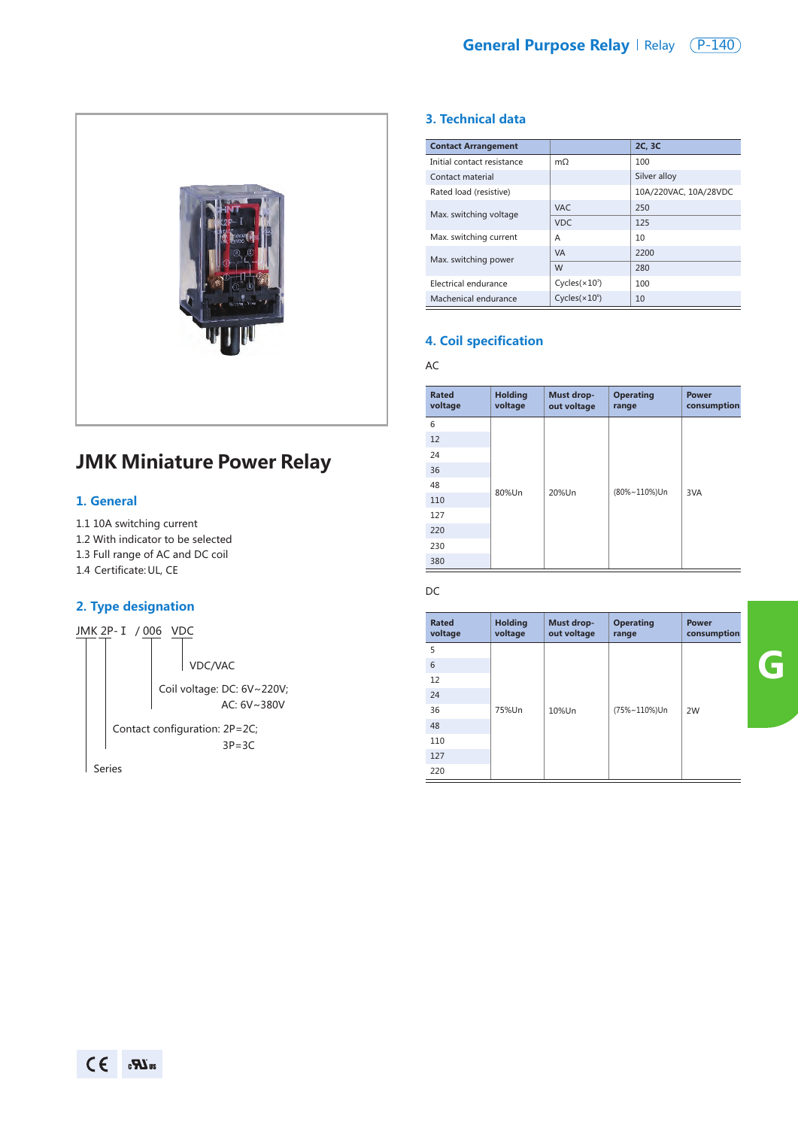

# **JMK Miniature Power Relay**

#### **1. General**

- 1.1 10A switching current
- 1.2 With indicator to be selected
- 1.3 Full range of AC and DC coil
- 1.4 Certificate: UL, CE

## **2. Type designation**



#### **3. Technical data**

| <b>Contact Arrangement</b> |                           | 2C, 3C                |
|----------------------------|---------------------------|-----------------------|
| Initial contact resistance | $m\Omega$                 | 100                   |
| Contact material           |                           | Silver alloy          |
| Rated load (resistive)     |                           | 10A/220VAC, 10A/28VDC |
| Max. switching voltage     | <b>VAC</b>                | 250                   |
|                            | <b>VDC</b>                | 125                   |
| Max. switching current     | A                         | 10                    |
| Max. switching power       | <b>VA</b>                 | 2200                  |
|                            | W                         | 280                   |
| Electrical endurance       | Cycles $(x10^3)$          | 100                   |
| Machenical endurance       | Cycles(x10 <sup>6</sup> ) | 10                    |

#### **4. Coil specification**

AC

| <b>Rated</b><br>voltage | <b>Holding</b><br>voltage | Must drop-<br>out voltage | <b>Operating</b><br>range | <b>Power</b><br>consumption |
|-------------------------|---------------------------|---------------------------|---------------------------|-----------------------------|
| 6                       | 80%Un                     | 20%Un                     | (80%~110%)Un              | 3VA                         |
| 12                      |                           |                           |                           |                             |
| 24                      |                           |                           |                           |                             |
| 36                      |                           |                           |                           |                             |
| 48                      |                           |                           |                           |                             |
| 110                     |                           |                           |                           |                             |
| 127                     |                           |                           |                           |                             |
| 220                     |                           |                           |                           |                             |
| 230                     |                           |                           |                           |                             |
| 380                     |                           |                           |                           |                             |

DC

| <b>Rated</b><br>voltage | <b>Holding</b><br>voltage | Must drop-<br>out voltage | <b>Operating</b><br>range | <b>Power</b><br>consumption |
|-------------------------|---------------------------|---------------------------|---------------------------|-----------------------------|
| 5                       |                           |                           |                           |                             |
| 6                       |                           |                           |                           |                             |
| 12                      |                           |                           |                           |                             |
| 24                      |                           |                           |                           |                             |
| 36                      | 75%Un                     | 10%Un                     | (75%~110%)Un              | 2W                          |
| 48                      |                           |                           |                           |                             |
| 110                     |                           |                           |                           |                             |
| 127                     |                           |                           |                           |                             |
| 220                     |                           |                           |                           |                             |